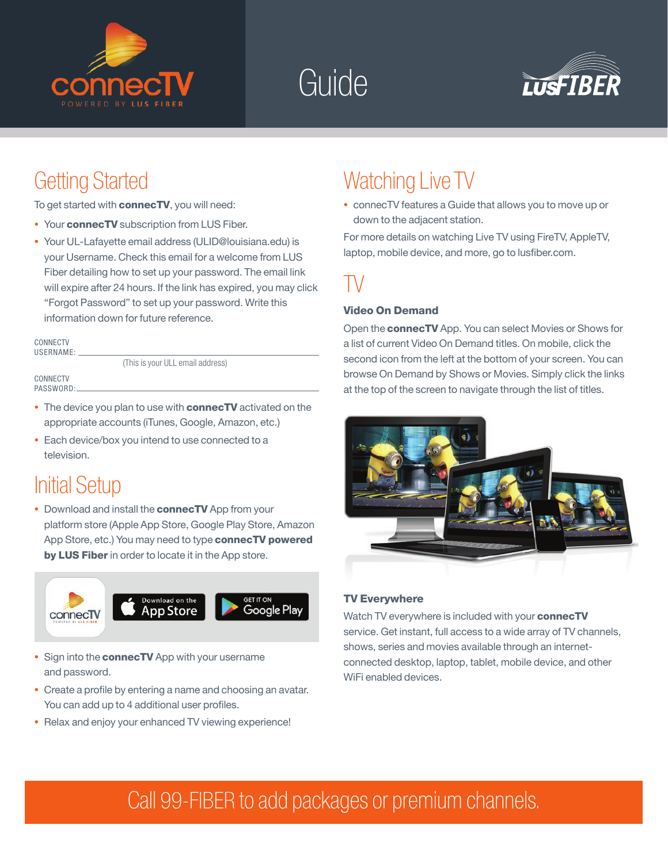





### Getting Started

To get started with **connecTV**, you will need:

- Your **connecTV** subscription from LUS Fiber.
- *•* Your UL-Lafayette email address (ULID@louisiana.edu) is your Username. Check this email for a welcome from LUS Fiber detailing how to set up your password. The email link will expire after 24 hours. If the link has expired, you may click "Forgot Password" to set up your password. Write this information down for future reference.

CONNECTV USERNAME:

(This is your ULL email address)

**CONNECTV** PASSWORD:

- The device you plan to use with **connecTV** activated on the appropriate accounts (iTunes, Google, Amazon, etc.)
- *•* Each device/box you intend to use connected to a television.

### Initial Setup

• Download and install the **connecTV** App from your platform store (Apple App Store, Google Play Store, Amazon App Store, etc.) You may need to type connecTV powered by LUS Fiber in order to locate it in the App store.



- Sign into the **connecTV** App with your username and password.
- *•* Create a profile by entering a name and choosing an avatar. You can add up to 4 additional user profiles.
- *•* Relax and enjoy your enhanced TV viewing experience!

### Watching Live TV

*•* connecTV features a Guide that allows you to move up or down to the adjacent station.

For more details on watching Live TV using FireTV, AppleTV, laptop, mobile device, and more, go to lusfiber.com.

### TV

#### Video On Demand

Open the connecTV App. You can select Movies or Shows for a list of current Video On Demand titles. On mobile, click the second icon from the left at the bottom of your screen. You can browse On Demand by Shows or Movies. Simply click the links at the top of the screen to navigate through the list of titles.



#### TV Everywhere

Watch TV everywhere is included with your connecTV service. Get instant, full access to a wide array of TV channels, shows, series and movies available through an internetconnected desktop, laptop, tablet, mobile device, and other WiFi enabled devices.

## Call 99-FIBER to add packages or premium channels.